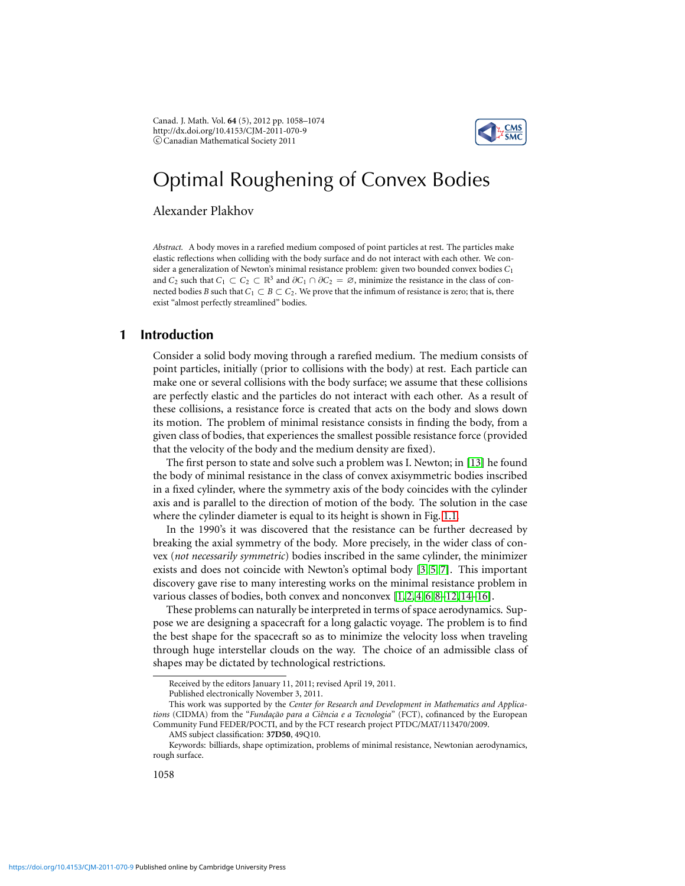Canad. J. Math. Vol. **64** (5), 2012 pp. 1058–1074 http://dx.doi.org/10.4153/CJM-2011-070-9 c Canadian Mathematical Society 2011



# Optimal Roughening of Convex Bodies

# Alexander Plakhov

*Abstract.* A body moves in a rarefied medium composed of point particles at rest. The particles make elastic reflections when colliding with the body surface and do not interact with each other. We consider a generalization of Newton's minimal resistance problem: given two bounded convex bodies *C*<sup>1</sup> and *C*<sub>2</sub> such that  $C_1 \subset C_2 \subset \mathbb{R}^3$  and  $\partial C_1 \cap \partial C_2 = \emptyset$ , minimize the resistance in the class of connected bodies *B* such that  $C_1 \subset B \subset C_2$ . We prove that the infimum of resistance is zero; that is, there exist "almost perfectly streamlined" bodies.

## **1 Introduction**

Consider a solid body moving through a rarefied medium. The medium consists of point particles, initially (prior to collisions with the body) at rest. Each particle can make one or several collisions with the body surface; we assume that these collisions are perfectly elastic and the particles do not interact with each other. As a result of these collisions, a resistance force is created that acts on the body and slows down its motion. The problem of minimal resistance consists in finding the body, from a given class of bodies, that experiences the smallest possible resistance force (provided that the velocity of the body and the medium density are fixed).

The first person to state and solve such a problem was I. Newton; in [\[13\]](#page-16-0) he found the body of minimal resistance in the class of convex axisymmetric bodies inscribed in a fixed cylinder, where the symmetry axis of the body coincides with the cylinder axis and is parallel to the direction of motion of the body. The solution in the case where the cylinder diameter is equal to its height is shown in Fig. [1.1.](#page-1-0)

In the 1990's it was discovered that the resistance can be further decreased by breaking the axial symmetry of the body. More precisely, in the wider class of convex (*not necessarily symmetric*) bodies inscribed in the same cylinder, the minimizer exists and does not coincide with Newton's optimal body [\[3,](#page-15-0) [5,](#page-16-1) [7\]](#page-16-2). This important discovery gave rise to many interesting works on the minimal resistance problem in various classes of bodies, both convex and nonconvex [\[1,](#page-15-1) [2,](#page-15-2) [4,](#page-15-3) [6,](#page-16-3) [8–](#page-16-4)[12,](#page-16-5) [14–](#page-16-6)[16\]](#page-16-7).

These problems can naturally be interpreted in terms of space aerodynamics. Suppose we are designing a spacecraft for a long galactic voyage. The problem is to find the best shape for the spacecraft so as to minimize the velocity loss when traveling through huge interstellar clouds on the way. The choice of an admissible class of shapes may be dictated by technological restrictions.

Received by the editors January 11, 2011; revised April 19, 2011.

Published electronically November 3, 2011.

This work was supported by the *Center for Research and Development in Mathematics and Applications* (CIDMA) from the "*Fundação para a Ciência e a Tecnologia*" (FCT), cofinanced by the European Community Fund FEDER/POCTI, and by the FCT research project PTDC/MAT/113470/2009.

AMS subject classification: **37D50**, 49Q10.

Keywords: billiards, shape optimization, problems of minimal resistance, Newtonian aerodynamics, rough surface.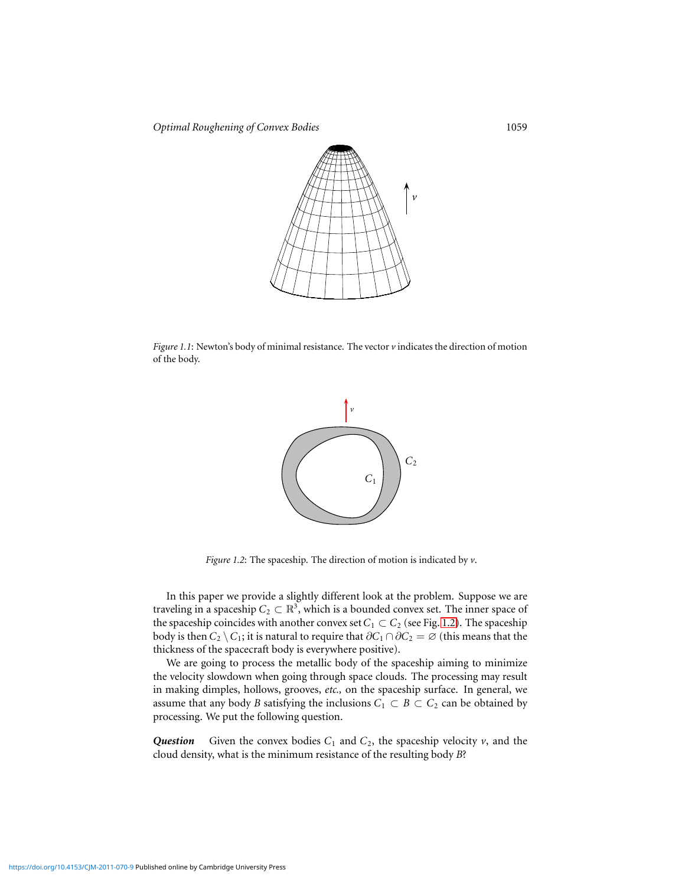*Optimal Roughening of Convex Bodies* 1059



<span id="page-1-0"></span>*Figure 1.1*: Newton's body of minimal resistance. The vector *v* indicates the direction of motion of the body.



<span id="page-1-1"></span>*Figure 1.2*: The spaceship. The direction of motion is indicated by *v*.

In this paper we provide a slightly different look at the problem. Suppose we are traveling in a spaceship  $C_2 \subset \mathbb{R}^3$ , which is a bounded convex set. The inner space of the spaceship coincides with another convex set  $C_1 \subset C_2$  (see Fig. [1.2\)](#page-1-1). The spaceship body is then  $C_2 \setminus C_1$ ; it is natural to require that  $\partial C_1 \cap \partial C_2 = \emptyset$  (this means that the thickness of the spacecraft body is everywhere positive).

We are going to process the metallic body of the spaceship aiming to minimize the velocity slowdown when going through space clouds. The processing may result in making dimples, hollows, grooves, *etc.,* on the spaceship surface. In general, we assume that any body *B* satisfying the inclusions  $C_1 \subset B \subset C_2$  can be obtained by processing. We put the following question.

**Question** Given the convex bodies  $C_1$  and  $C_2$ , the spaceship velocity  $v$ , and the cloud density, what is the minimum resistance of the resulting body *B*?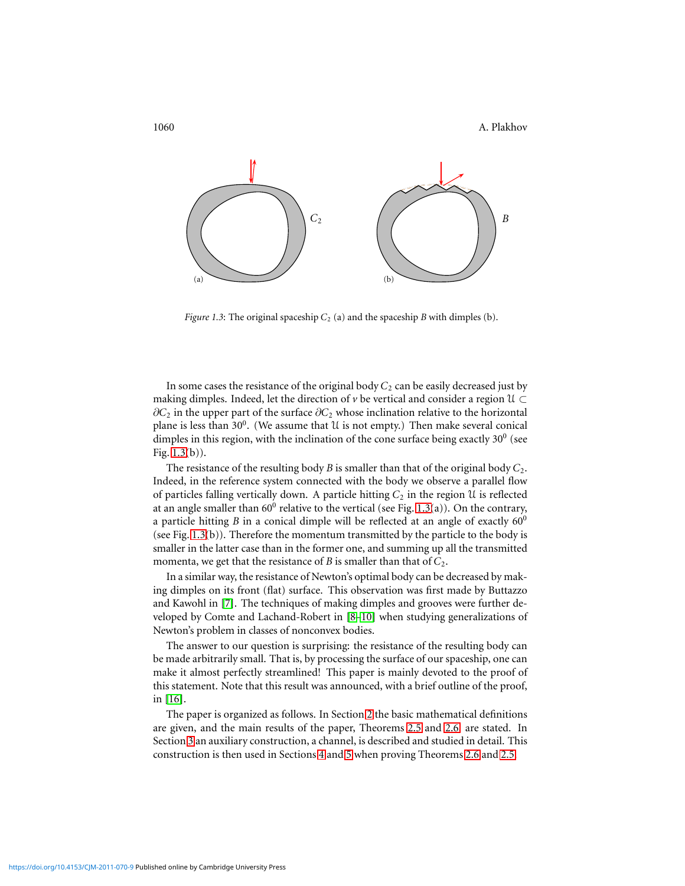

<span id="page-2-0"></span>*Figure 1.3*: The original spaceship  $C_2$  (a) and the spaceship *B* with dimples (b).

In some cases the resistance of the original body  $C_2$  can be easily decreased just by making dimples. Indeed, let the direction of  $\nu$  be vertical and consider a region  $\mathfrak{U} \subset$  $\partial C_2$  in the upper part of the surface  $\partial C_2$  whose inclination relative to the horizontal plane is less than  $30^0$ . (We assume that U is not empty.) Then make several conical dimples in this region, with the inclination of the cone surface being exactly  $30^0$  (see Fig. [1.3\(](#page-2-0)b)).

The resistance of the resulting body *B* is smaller than that of the original body  $C_2$ . Indeed, in the reference system connected with the body we observe a parallel flow of particles falling vertically down. A particle hitting  $C_2$  in the region  $\mathfrak U$  is reflected at an angle smaller than  $60^0$  relative to the vertical (see Fig. [1.3\(](#page-2-0)a)). On the contrary, a particle hitting  $B$  in a conical dimple will be reflected at an angle of exactly  $60^0$ (see Fig. [1.3\(](#page-2-0)b)). Therefore the momentum transmitted by the particle to the body is smaller in the latter case than in the former one, and summing up all the transmitted momenta, we get that the resistance of *B* is smaller than that of  $C_2$ .

In a similar way, the resistance of Newton's optimal body can be decreased by making dimples on its front (flat) surface. This observation was first made by Buttazzo and Kawohl in [\[7\]](#page-16-2). The techniques of making dimples and grooves were further developed by Comte and Lachand-Robert in [\[8–](#page-16-4)[10\]](#page-16-8) when studying generalizations of Newton's problem in classes of nonconvex bodies.

The answer to our question is surprising: the resistance of the resulting body can be made arbitrarily small. That is, by processing the surface of our spaceship, one can make it almost perfectly streamlined! This paper is mainly devoted to the proof of this statement. Note that this result was announced, with a brief outline of the proof, in [\[16\]](#page-16-7).

The paper is organized as follows. In Section [2](#page-3-0) the basic mathematical definitions are given, and the main results of the paper, Theorems [2.5](#page-4-0) and [2.6,](#page-4-1) are stated. In Section [3](#page-5-0) an auxiliary construction, a channel, is described and studied in detail. This construction is then used in Sections [4](#page-10-0) and [5](#page-13-0) when proving Theorems [2.6](#page-4-1) and [2.5.](#page-4-0)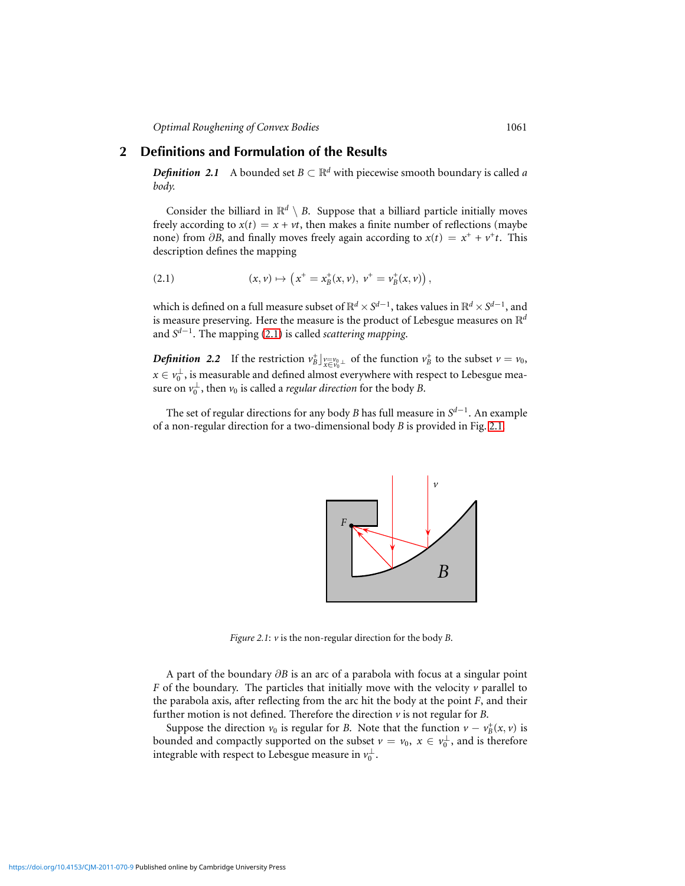## **2 Definitions and Formulation of the Results**

<span id="page-3-0"></span>*Definition* 2.1 A bounded set  $B \subset \mathbb{R}^d$  with piecewise smooth boundary is called *a body.*

Consider the billiard in  $\mathbb{R}^d \setminus B$ . Suppose that a billiard particle initially moves freely according to  $x(t) = x + vt$ , then makes a finite number of reflections (maybe none) from  $\partial B$ , and finally moves freely again according to  $x(t) = x^+ + v^+t$ . This description defines the mapping

<span id="page-3-1"></span>(2.1) 
$$
(x, v) \mapsto (x^+ = x_B^+(x, v), v^+ = v_B^+(x, v)),
$$

which is defined on a full measure subset of  $\mathbb{R}^d \times S^{d-1}$ , takes values in  $\mathbb{R}^d \times S^{d-1}$ , and is measure preserving. Here the measure is the product of Lebesgue measures on R *d* and *S d*−1 . The mapping [\(2.1\)](#page-3-1) is called *scattering mapping*.

*Definition 2.2* If the restriction  $v_B^+|_{x \in v_0^{\perp}}$  of the function  $v_B^+$  to the subset  $v = v_0$ ,  $x \in v_0^{\perp}$ , is measurable and defined almost everywhere with respect to Lebesgue measure on  $v_0^{\perp}$ , then  $v_0$  is called a *regular direction* for the body *B*.

The set of regular directions for any body *B* has full measure in *S d*−1 . An example of a non-regular direction for a two-dimensional body *B* is provided in Fig. [2.1.](#page-3-2)



<span id="page-3-2"></span>*Figure 2.1*: *v* is the non-regular direction for the body *B*.

A part of the boundary ∂*B* is an arc of a parabola with focus at a singular point *F* of the boundary. The particles that initially move with the velocity  $\nu$  parallel to the parabola axis, after reflecting from the arc hit the body at the point *F*, and their further motion is not defined. Therefore the direction *v* is not regular for *B*.

Suppose the direction  $v_0$  is regular for *B*. Note that the function  $v - v_B^+(x, v)$  is bounded and compactly supported on the subset  $v = v_0$ ,  $x \in v_0^{\perp}$ , and is therefore integrable with respect to Lebesgue measure in  $v_0^{\perp}$ .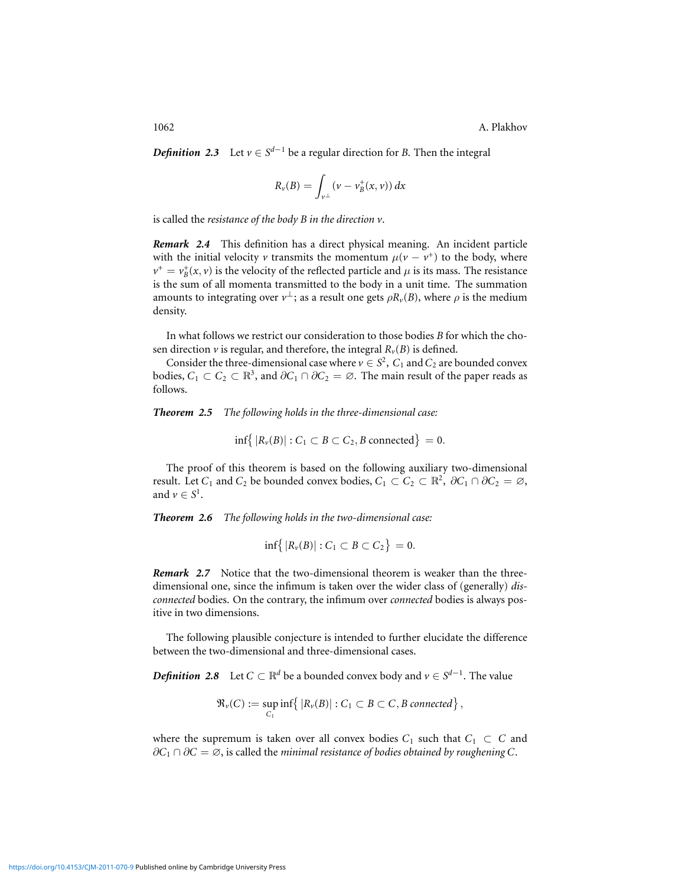*Definition* 2.3 Let  $v \in S^{d-1}$  be a regular direction for *B*. Then the integral

$$
R_{\nu}(B) = \int_{\nu^{\perp}} (\nu - \nu_B^+(x, \nu)) dx
$$

is called the *resistance of the body B in the direction v*.

*Remark 2.4* This definition has a direct physical meaning. An incident particle with the initial velocity *v* transmits the momentum  $\mu(\nu - \nu^+)$  to the body, where  $v^+ = v_B^+(x, v)$  is the velocity of the reflected particle and  $\mu$  is its mass. The resistance is the sum of all momenta transmitted to the body in a unit time. The summation amounts to integrating over  $v^{\perp}$ ; as a result one gets  $\rho R_{\nu}(B)$ , where  $\rho$  is the medium density.

In what follows we restrict our consideration to those bodies *B* for which the chosen direction  $\nu$  is regular, and therefore, the integral  $R_{\nu}(B)$  is defined.

Consider the three-dimensional case where  $v \in S^2$ ,  $C_1$  and  $C_2$  are bounded convex bodies,  $C_1 \subset C_2 \subset \mathbb{R}^3$ , and  $\partial C_1 \cap \partial C_2 = \emptyset$ . The main result of the paper reads as follows.

<span id="page-4-0"></span>*Theorem 2.5 The following holds in the three-dimensional case:*

 $\inf\{|R_v(B)| : C_1 \subset B \subset C_2, B \text{ connected}\} = 0.$ 

The proof of this theorem is based on the following auxiliary two-dimensional result. Let *C*<sub>1</sub> and *C*<sub>2</sub> be bounded convex bodies,  $C_1 \subset C_2 \subset \mathbb{R}^2$ ,  $\partial C_1 \cap \partial C_2 = \emptyset$ , and  $\nu \in S^1$ .

<span id="page-4-1"></span>*Theorem 2.6 The following holds in the two-dimensional case:*

$$
\inf\bigl\{\,|R_\nu(B)|:C_1\subset B\subset C_2\bigr\}\,=0.
$$

*Remark 2.7* Notice that the two-dimensional theorem is weaker than the threedimensional one, since the infimum is taken over the wider class of (generally) *disconnected* bodies. On the contrary, the infimum over *connected* bodies is always positive in two dimensions.

The following plausible conjecture is intended to further elucidate the difference between the two-dimensional and three-dimensional cases.

*Definition* 2.8 Let  $C \subset \mathbb{R}^d$  be a bounded convex body and  $v \in S^{d-1}$ . The value

$$
\mathfrak{R}_{\nu}(C):=\sup_{C_1}\inf\{|R_{\nu}(B)|:C_1\subset B\subset C, B \text{ connected}\},\,
$$

where the supremum is taken over all convex bodies  $C_1$  such that  $C_1 \subset C$  and <sup>∂</sup>*C*<sup>1</sup> <sup>∩</sup> <sup>∂</sup>*<sup>C</sup>* <sup>=</sup> <sup>∅</sup>, is called the *minimal resistance of bodies obtained by roughening C*.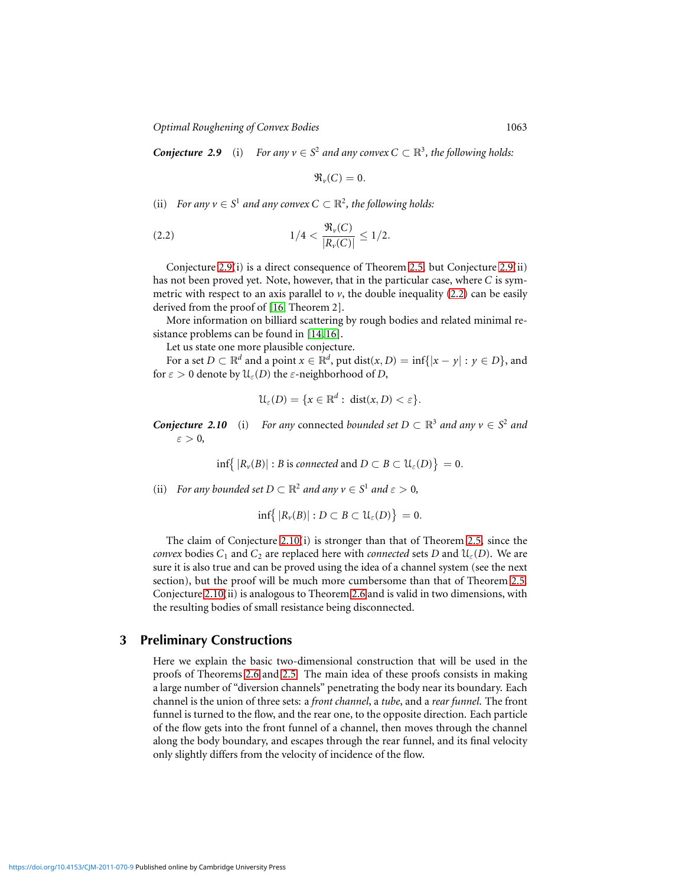*Optimal Roughening of Convex Bodies* 1063

*Conjecture* 2.9 (i) *For any*  $v \in S^2$  *and any convex*  $C \subset \mathbb{R}^3$ *, the following holds:* 

$$
\mathfrak{R}_{\nu}(C)=0.
$$

(ii) *For any*  $v \in S^1$  *and any convex*  $C \subset \mathbb{R}^2$ *, the following holds:* 

<span id="page-5-1"></span>(2.2) 
$$
1/4 < \frac{\Re_v(C)}{|R_v(C)|} \le 1/2.
$$

Conjecture 2.9(i) is a direct consequence of Theorem [2.5,](#page-4-0) but Conjecture 2.9(ii) has not been proved yet. Note, however, that in the particular case, where *C* is symmetric with respect to an axis parallel to  $v$ , the double inequality [\(2.2\)](#page-5-1) can be easily derived from the proof of [\[16,](#page-16-7) Theorem 2].

More information on billiard scattering by rough bodies and related minimal re-sistance problems can be found in [\[14,](#page-16-6) [16\]](#page-16-7).

Let us state one more plausible conjecture.

For a set  $D \subset \mathbb{R}^d$  and a point  $x \in \mathbb{R}^d$ , put  $dist(x, D) = inf\{|x - y| : y \in D\}$ , and for  $\varepsilon > 0$  denote by  $\mathcal{U}_{\varepsilon}(D)$  the  $\varepsilon$ -neighborhood of *D*,

$$
\mathcal{U}_{\varepsilon}(D) = \{x \in \mathbb{R}^d : \, \text{dist}(x, D) < \varepsilon\}.
$$

*Conjecture* 2.10 (i) *For any* connected *bounded set*  $D \subset \mathbb{R}^3$  *and any*  $v \in S^2$  *and*  $\varepsilon > 0$ ,

 $\inf\{|R_\nu(B)| : B \text{ is connected and } D \subset B \subset \mathcal{U}_\varepsilon(D)\} = 0.$ 

(ii) *For any bounded set*  $D \subset \mathbb{R}^2$  *and any*  $v \in S^1$  *and*  $\varepsilon > 0$ *,* 

$$
\inf\bigl\{\,|R_\nu(B)|:D\subset B\subset\mathcal{U}_\varepsilon(D)\bigr\}\,=\,0.
$$

The claim of Conjecture 2.10(i) is stronger than that of Theorem [2.5,](#page-4-0) since the *convex* bodies  $C_1$  and  $C_2$  are replaced here with *connected* sets *D* and  $\mathcal{U}_{\varepsilon}(D)$ . We are sure it is also true and can be proved using the idea of a channel system (see the next section), but the proof will be much more cumbersome than that of Theorem [2.5.](#page-4-0) Conjecture 2.10(ii) is analogous to Theorem [2.6](#page-4-1) and is valid in two dimensions, with the resulting bodies of small resistance being disconnected.

## **3 Preliminary Constructions**

<span id="page-5-0"></span>Here we explain the basic two-dimensional construction that will be used in the proofs of Theorems [2.6](#page-4-1) and [2.5.](#page-4-0) The main idea of these proofs consists in making a large number of "diversion channels" penetrating the body near its boundary. Each channel is the union of three sets: a *front channel*, a *tube*, and a *rear funnel*. The front funnel is turned to the flow, and the rear one, to the opposite direction. Each particle of the flow gets into the front funnel of a channel, then moves through the channel along the body boundary, and escapes through the rear funnel, and its final velocity only slightly differs from the velocity of incidence of the flow.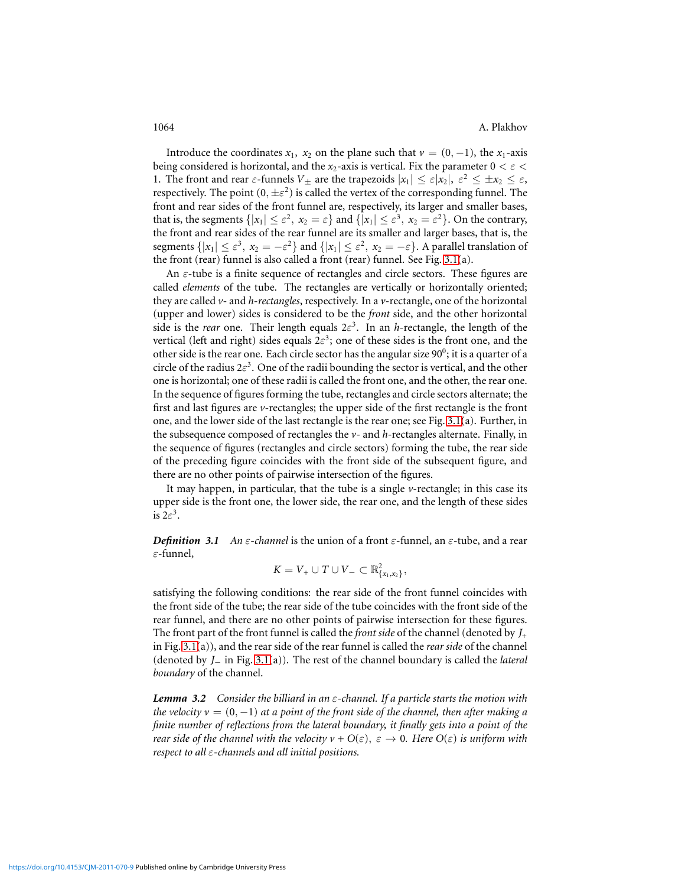Introduce the coordinates  $x_1$ ,  $x_2$  on the plane such that  $v = (0, -1)$ , the  $x_1$ -axis being considered is horizontal, and the  $x_2$ -axis is vertical. Fix the parameter  $0 < \varepsilon <$ 1. The front and rear  $\varepsilon$ -funnels  $V_{\pm}$  are the trapezoids  $|x_1| \leq \varepsilon |x_2|, \ \varepsilon^2 \leq \pm x_2 \leq \varepsilon$ , respectively. The point  $(0, \pm \varepsilon^2)$  is called the vertex of the corresponding funnel. The front and rear sides of the front funnel are, respectively, its larger and smaller bases, that is, the segments  $\{|x_1| \le \varepsilon^2, x_2 = \varepsilon\}$  and  $\{|x_1| \le \varepsilon^3, x_2 = \varepsilon^2\}$ . On the contrary, the front and rear sides of the rear funnel are its smaller and larger bases, that is, the segments  $\{|x_1| \le \varepsilon^3, x_2 = -\varepsilon^2\}$  and  $\{|x_1| \le \varepsilon^2, x_2 = -\varepsilon\}$ . A parallel translation of the front (rear) funnel is also called a front (rear) funnel. See Fig. [3.1\(](#page-7-0)a).

An  $\varepsilon$ -tube is a finite sequence of rectangles and circle sectors. These figures are called *elements* of the tube. The rectangles are vertically or horizontally oriented; they are called *v*- and *h*-*rectangles*, respectively. In a *v*-rectangle, one of the horizontal (upper and lower) sides is considered to be the *front* side, and the other horizontal side is the *rear* one. Their length equals  $2\varepsilon^3$ . In an *h*-rectangle, the length of the vertical (left and right) sides equals  $2\varepsilon^3$ ; one of these sides is the front one, and the other side is the rear one. Each circle sector has the angular size  $90^0$ ; it is a quarter of a circle of the radius  $2\varepsilon^3$ . One of the radii bounding the sector is vertical, and the other one is horizontal; one of these radii is called the front one, and the other, the rear one. In the sequence of figures forming the tube, rectangles and circle sectors alternate; the first and last figures are *v*-rectangles; the upper side of the first rectangle is the front one, and the lower side of the last rectangle is the rear one; see Fig. [3.1\(](#page-7-0)a). Further, in the subsequence composed of rectangles the  $\nu$ - and  $h$ -rectangles alternate. Finally, in the sequence of figures (rectangles and circle sectors) forming the tube, the rear side of the preceding figure coincides with the front side of the subsequent figure, and there are no other points of pairwise intersection of the figures.

It may happen, in particular, that the tube is a single *v*-rectangle; in this case its upper side is the front one, the lower side, the rear one, and the length of these sides is  $2\varepsilon^3$ .

*Definition* 3.1 *An*  $\varepsilon$ -*channel* is the union of a front  $\varepsilon$ -funnel, an  $\varepsilon$ -tube, and a rear  $\varepsilon$ -funnel,

$$
K = V_+ \cup T \cup V_- \subset \mathbb{R}^2_{\{x_1,x_2\}},
$$

satisfying the following conditions: the rear side of the front funnel coincides with the front side of the tube; the rear side of the tube coincides with the front side of the rear funnel, and there are no other points of pairwise intersection for these figures. The front part of the front funnel is called the *front side* of the channel (denoted by *J*<sup>+</sup> in Fig. [3.1\(](#page-7-0)a)), and the rear side of the rear funnel is called the *rear side* of the channel (denoted by *J*<sup>−</sup> in Fig. [3.1\(](#page-7-0)a)). The rest of the channel boundary is called the *lateral boundary* of the channel.

*Lemma 3.2 Consider the billiard in an* ε*-channel. If a particle starts the motion with the velocity*  $v = (0, -1)$  *at a point of the front side of the channel, then after making a finite number of reflections from the lateral boundary, it finally gets into a point of the rear side of the channel with the velocity*  $v + O(\varepsilon)$ ,  $\varepsilon \to 0$ *. Here*  $O(\varepsilon)$  *is uniform with respect to all* ε*-channels and all initial positions.*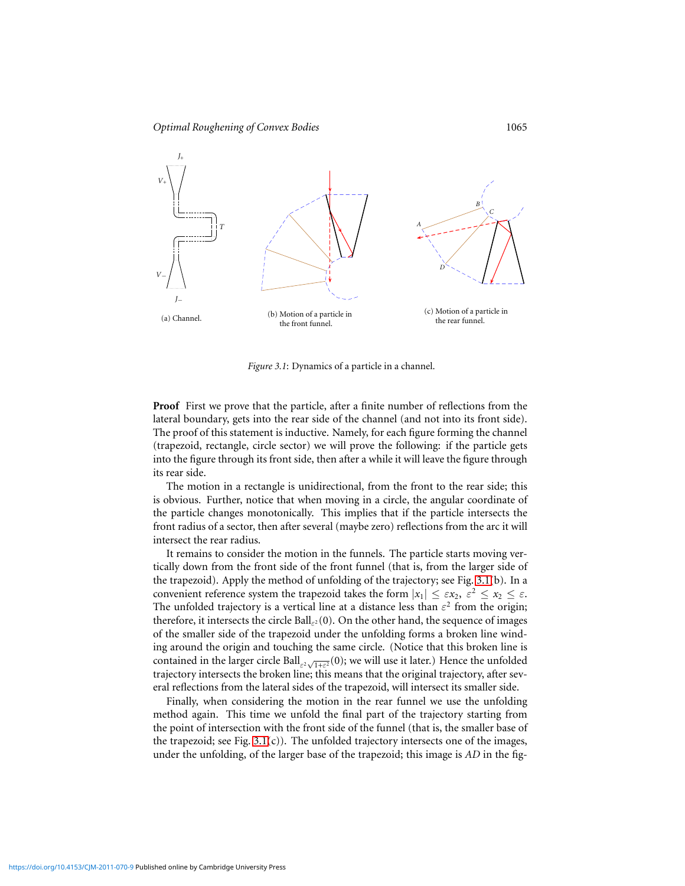

<span id="page-7-0"></span>*Figure 3.1*: Dynamics of a particle in a channel.

**Proof** First we prove that the particle, after a finite number of reflections from the lateral boundary, gets into the rear side of the channel (and not into its front side). The proof of this statement is inductive. Namely, for each figure forming the channel (trapezoid, rectangle, circle sector) we will prove the following: if the particle gets into the figure through its front side, then after a while it will leave the figure through its rear side.

The motion in a rectangle is unidirectional, from the front to the rear side; this is obvious. Further, notice that when moving in a circle, the angular coordinate of the particle changes monotonically. This implies that if the particle intersects the front radius of a sector, then after several (maybe zero) reflections from the arc it will intersect the rear radius.

It remains to consider the motion in the funnels. The particle starts moving vertically down from the front side of the front funnel (that is, from the larger side of the trapezoid). Apply the method of unfolding of the trajectory; see Fig. [3.1\(](#page-7-0)b). In a convenient reference system the trapezoid takes the form  $|x_1| \leq \varepsilon x_2, \ \varepsilon^2 \leq x_2 \leq \varepsilon$ . The unfolded trajectory is a vertical line at a distance less than  $\varepsilon^2$  from the origin; therefore, it intersects the circle  $\text{Ball}_{\varepsilon^2}(0)$ . On the other hand, the sequence of images of the smaller side of the trapezoid under the unfolding forms a broken line winding around the origin and touching the same circle. (Notice that this broken line is contained in the larger circle  $\text{Ball}_{\varepsilon^2\sqrt{1+\varepsilon^2}}(0)$ ; we will use it later.) Hence the unfolded trajectory intersects the broken line; this means that the original trajectory, after several reflections from the lateral sides of the trapezoid, will intersect its smaller side.

Finally, when considering the motion in the rear funnel we use the unfolding method again. This time we unfold the final part of the trajectory starting from the point of intersection with the front side of the funnel (that is, the smaller base of the trapezoid; see Fig.  $3.1(c)$ ). The unfolded trajectory intersects one of the images, under the unfolding, of the larger base of the trapezoid; this image is *AD* in the fig-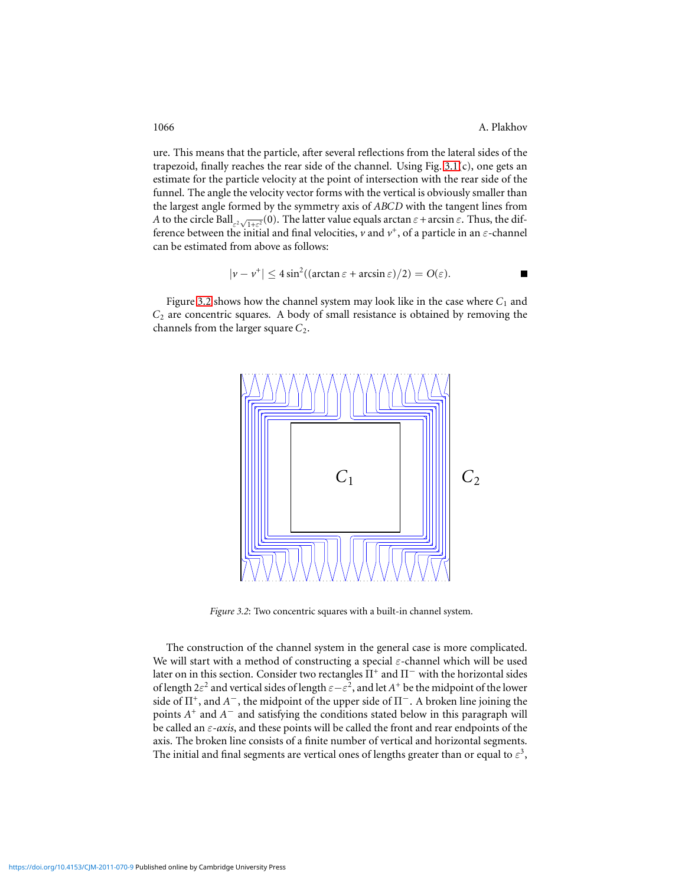ure. This means that the particle, after several reflections from the lateral sides of the trapezoid, finally reaches the rear side of the channel. Using Fig. [3.1\(](#page-7-0)c), one gets an estimate for the particle velocity at the point of intersection with the rear side of the funnel. The angle the velocity vector forms with the vertical is obviously smaller than the largest angle formed by the symmetry axis of *ABCD* with the tangent lines from *A* to the circle Ball  $_{\varepsilon^2\sqrt{1+\varepsilon^2}}(0)$ . The latter value equals arctan  $\varepsilon$  + arcsin  $\varepsilon$ . Thus, the difference between the initial and final velocities,  $\nu$  and  $\nu^+$ , of a particle in an  $\varepsilon$ -channel can be estimated from above as follows:

$$
|\nu - \nu^{+}| \leq 4 \sin^{2}((\arctan \varepsilon + \arcsin \varepsilon)/2) = O(\varepsilon).
$$

Figure [3.2](#page-8-0) shows how the channel system may look like in the case where  $C_1$  and  $C_2$  are concentric squares. A body of small resistance is obtained by removing the channels from the larger square  $C_2$ .



<span id="page-8-0"></span>*Figure 3.2*: Two concentric squares with a built-in channel system.

The construction of the channel system in the general case is more complicated. We will start with a method of constructing a special  $\varepsilon$ -channel which will be used later on in this section. Consider two rectangles  $\Pi^+$  and  $\Pi^-$  with the horizontal sides of length  $2\varepsilon^2$  and vertical sides of length  $\varepsilon - \varepsilon^2$ , and let  $A^+$  be the midpoint of the lower side of  $\Pi^+$ , and  $A^-$ , the midpoint of the upper side of  $\Pi^-$ . A broken line joining the points *A*<sup>+</sup> and *A*<sup>−</sup> and satisfying the conditions stated below in this paragraph will be called an ε*-axis*, and these points will be called the front and rear endpoints of the axis. The broken line consists of a finite number of vertical and horizontal segments. The initial and final segments are vertical ones of lengths greater than or equal to  $\varepsilon^3$ ,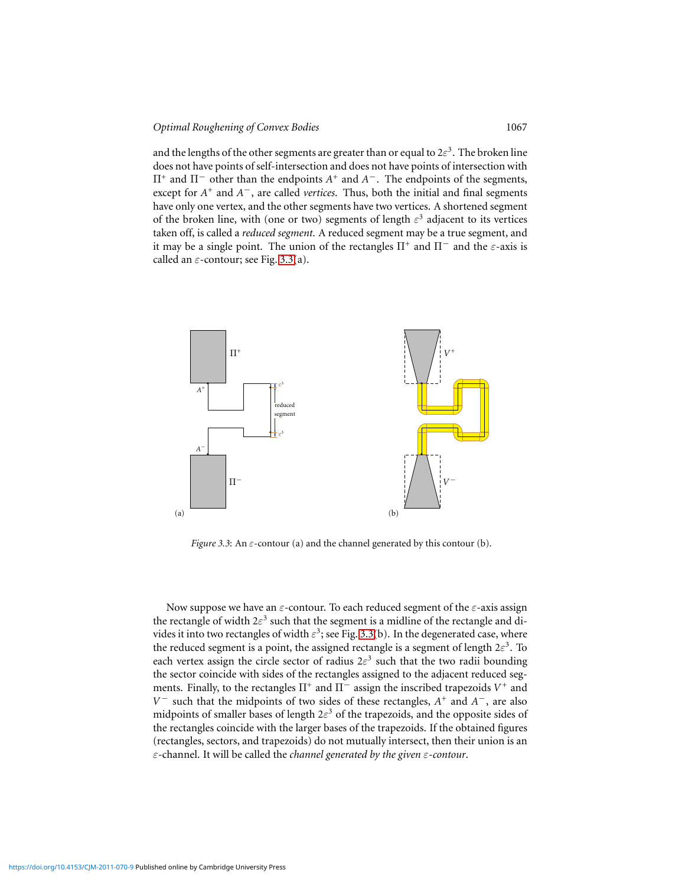and the lengths of the other segments are greater than or equal to  $2\varepsilon^3$ . The broken line does not have points of self-intersection and does not have points of intersection with Π+ and Π<sup>−</sup> other than the endpoints *A* + and *A* −. The endpoints of the segments, except for *A*<sup>+</sup> and *A*<sup>−</sup>, are called *vertices*. Thus, both the initial and final segments have only one vertex, and the other segments have two vertices. A shortened segment of the broken line, with (one or two) segments of length  $\varepsilon^3$  adjacent to its vertices taken off, is called a *reduced segment*. A reduced segment may be a true segment, and it may be a single point. The union of the rectangles  $\Pi^+$  and  $\Pi^-$  and the  $\varepsilon$ -axis is called an  $\varepsilon$ -contour; see Fig. [3.3\(](#page-9-0)a).



<span id="page-9-0"></span>*Figure 3.3*: An  $\varepsilon$ -contour (a) and the channel generated by this contour (b).

Now suppose we have an  $\varepsilon$ -contour. To each reduced segment of the  $\varepsilon$ -axis assign the rectangle of width  $2\varepsilon^3$  such that the segment is a midline of the rectangle and divides it into two rectangles of width  $\varepsilon^3$ ; see Fig. [3.3\(](#page-9-0)b). In the degenerated case, where the reduced segment is a point, the assigned rectangle is a segment of length  $2\varepsilon^3$ . To each vertex assign the circle sector of radius  $2\varepsilon^3$  such that the two radii bounding the sector coincide with sides of the rectangles assigned to the adjacent reduced segments. Finally, to the rectangles  $\Pi^+$  and  $\Pi^-$  assign the inscribed trapezoids  $V^+$  and *V*<sup>−</sup> such that the midpoints of two sides of these rectangles,  $A^+$  and  $A^-$ , are also midpoints of smaller bases of length  $2\varepsilon^3$  of the trapezoids, and the opposite sides of the rectangles coincide with the larger bases of the trapezoids. If the obtained figures (rectangles, sectors, and trapezoids) do not mutually intersect, then their union is an ε-channel. It will be called the *channel generated by the given* ε*-contour*.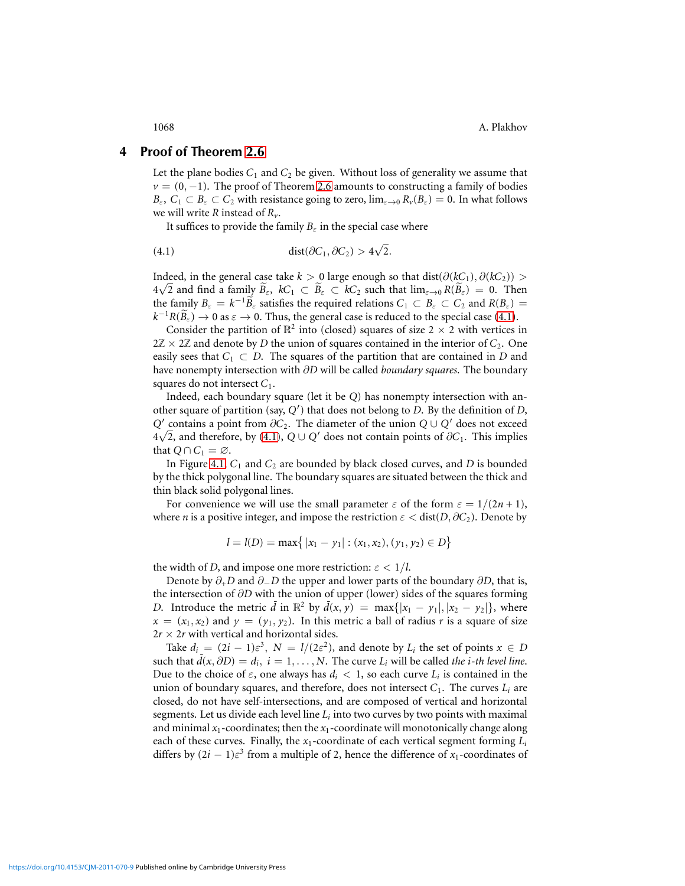# **4 Proof of Theorem [2.6](#page-4-1)**

Let the plane bodies  $C_1$  and  $C_2$  be given. Without loss of generality we assume that  $v = (0, -1)$ . The proof of Theorem [2.6](#page-4-1) amounts to constructing a family of bodies  $B_{\varepsilon}$ ,  $C_1 \subset B_{\varepsilon} \subset C_2$  with resistance going to zero,  $\lim_{\varepsilon \to 0} R_{\nu}(B_{\varepsilon}) = 0$ . In what follows we will write *R* instead of *Rv*.

It suffices to provide the family  $B_{\varepsilon}$  in the special case where

<span id="page-10-1"></span>(4.1) 
$$
\text{dist}(\partial C_1, \partial C_2) > 4\sqrt{2}.
$$

Indeed, in the general case take  $k > 0$  large enough so that dist( $\partial (kC_1)$ ,  $\partial (kC_2)$ ) >  $4\sqrt{2}$  and find a family  $\widetilde{B}_{\varepsilon}$ ,  $kC_1 \subset \widetilde{B}_{\varepsilon} \subset kC_2$  such that  $\lim_{\varepsilon \to 0} R(\widetilde{B}_{\varepsilon}) = 0$ . Then the family  $B_{\varepsilon} = k^{-1} \widetilde{B}_{\varepsilon}$  satisfies the required relations  $C_1 \subset B_{\varepsilon} \subset C_2$  and  $R(B_{\varepsilon}) =$  $k^{-1}R(\widetilde{B}_{\varepsilon}) \to 0$  as  $\varepsilon \to 0$ . Thus, the general case is reduced to the special case [\(4.1\)](#page-10-1).

Consider the partition of  $\mathbb{R}^2$  into (closed) squares of size 2  $\times$  2 with vertices in  $2\mathbb{Z} \times 2\mathbb{Z}$  and denote by *D* the union of squares contained in the interior of  $C_2$ . One easily sees that  $C_1 \subset D$ . The squares of the partition that are contained in *D* and have nonempty intersection with ∂*D* will be called *boundary squares*. The boundary squares do not intersect *C*1.

Indeed, each boundary square (let it be *Q*) has nonempty intersection with another square of partition (say, *Q* ′ ) that does not belong to *D*. By the definition of *D*, *Q*<sup>'</sup> contains a point from ∂*C*<sub>2</sub>. The diameter of the union  $Q \cup Q'$  does not exceed 4 √ 2, and therefore, by [\(4.1\)](#page-10-1), *Q* ∪ *Q* ′ does not contain points of ∂*C*1. This implies that  $Q \cap C_1 = \emptyset$ .

In Figure [4.1,](#page-12-0)  $C_1$  and  $C_2$  are bounded by black closed curves, and  $D$  is bounded by the thick polygonal line. The boundary squares are situated between the thick and thin black solid polygonal lines.

For convenience we will use the small parameter  $\varepsilon$  of the form  $\varepsilon = 1/(2n + 1)$ , where *n* is a positive integer, and impose the restriction  $\varepsilon <$  dist(*D*,  $\partial C_2$ ). Denote by

$$
l = l(D) = max\{|x_1 - y_1| : (x_1, x_2), (y_1, y_2) \in D\}
$$

the width of *D*, and impose one more restriction:  $\varepsilon < 1/l$ .

Denote by ∂+*D* and ∂−*D* the upper and lower parts of the boundary ∂*D*, that is, the intersection of ∂*D* with the union of upper (lower) sides of the squares forming *D*. Introduce the metric  $\bar{d}$  in  $\mathbb{R}^2$  by  $\bar{d}(x, y) = \max\{|x_1 - y_1|, |x_2 - y_2|\}$ , where  $x = (x_1, x_2)$  and  $y = (y_1, y_2)$ . In this metric a ball of radius *r* is a square of size  $2r \times 2r$  with vertical and horizontal sides.

Take  $d_i = (2i - 1)\varepsilon^3$ ,  $N = \frac{l}{2\varepsilon^2}$ , and denote by  $L_i$  the set of points  $x \in D$ such that  $\bar{d}(x, \partial D) = d_i$ ,  $i = 1, ..., N$ . The curve  $L_i$  will be called *the i-th level line*. Due to the choice of  $\varepsilon$ , one always has  $d_i < 1$ , so each curve  $L_i$  is contained in the union of boundary squares, and therefore, does not intersect  $C_1$ . The curves  $L_i$  are closed, do not have self-intersections, and are composed of vertical and horizontal segments. Let us divide each level line *L<sup>i</sup>* into two curves by two points with maximal and minimal *x*1-coordinates; then the *x*1-coordinate will monotonically change along each of these curves. Finally, the *x*1-coordinate of each vertical segment forming *L<sup>i</sup>* differs by  $(2i - 1)\varepsilon^3$  from a multiple of 2, hence the difference of *x*<sub>1</sub>-coordinates of

<span id="page-10-0"></span>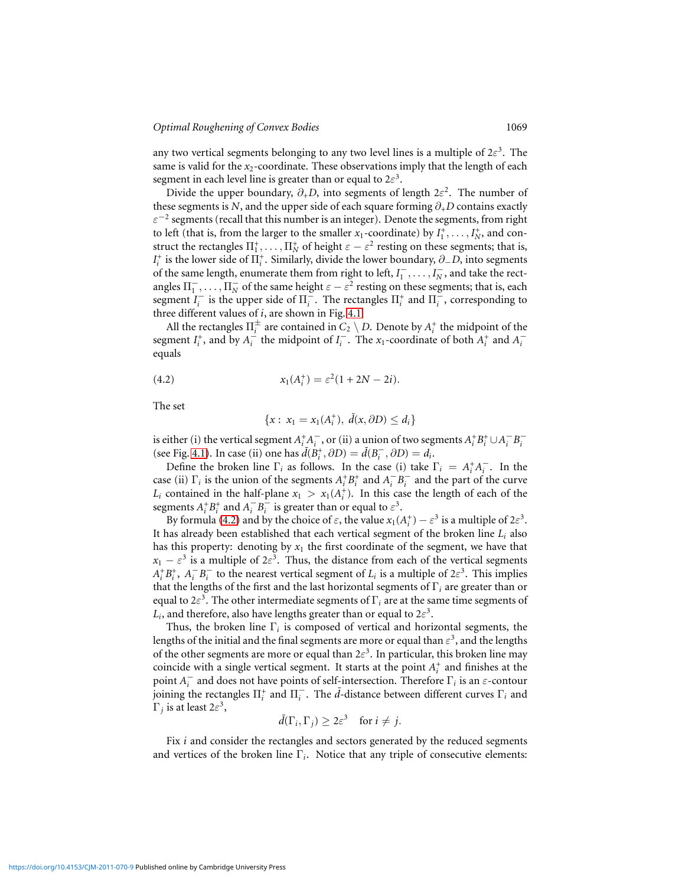any two vertical segments belonging to any two level lines is a multiple of  $2\varepsilon^3$ . The same is valid for the  $x_2$ -coordinate. These observations imply that the length of each segment in each level line is greater than or equal to  $2\varepsilon^3$ .

Divide the upper boundary,  $\partial_{+}D$ , into segments of length  $2\varepsilon^2$ . The number of these segments is *N*, and the upper side of each square forming  $\partial_{+}D$  contains exactly  $\varepsilon^{-2}$  segments (recall that this number is an integer). Denote the segments, from right to left (that is, from the larger to the smaller  $x_1$ -coordinate) by  $I_1^+$ , ...,  $I_N^+$ , and construct the rectangles  $\Pi_1^+$ , ...,  $\Pi_N^+$  of height  $\varepsilon - \varepsilon^2$  resting on these segments; that is,  $I_i^+$  is the lower side of  $\Pi_i^+$ . Similarly, divide the lower boundary,  $\partial_-D$ , into segments of the same length, enumerate them from right to left,  $I_1^-$  ,  $\dots$  ,  $I_N^-$  , and take the rectangles  $\Pi_1^-$ , ...,  $\Pi_N^-$  of the same height  $\varepsilon - \varepsilon^2$  resting on these segments; that is, each segment  $I_i^-$  is the upper side of  $\Pi_i^-$ . The rectangles  $\Pi_i^+$  and  $\Pi_i^-$ , corresponding to three different values of *i*, are shown in Fig. [4.1.](#page-12-0)

All the rectangles  $\Pi_i^{\pm}$  are contained in  $C_2 \setminus D$ . Denote by  $A_i^+$  the midpoint of the segment *I*<sub>i</sub><sup>+</sup>, and by  $A_i^-$  the midpoint of *I*<sub>i</sub><sup>−</sup>. The *x*<sub>1</sub>-coordinate of both  $A_i^+$  and  $A_i^$ equals

<span id="page-11-0"></span>(4.2) 
$$
x_1(A_i^+) = \varepsilon^2 (1 + 2N - 2i).
$$

The set

$$
\{x:\,x_1=x_1(A_i^+),\,\bar{d}(x,\partial D)\leq d_i\}
$$

is either (i) the vertical segment  $A_i^+ A_i^-$ , or (ii) a union of two segments  $A_i^+ B_i^+ \cup A_i^- B_i^-$ (see Fig. [4.1\)](#page-12-0). In case (ii) one has  $\bar{d}(\dot{B}_i^+, \partial D) = \bar{d}(B_i^-, \partial D) = d_i$ .

Define the broken line  $\Gamma_i$  as follows. In the case (i) take  $\Gamma_i = A_i^+ A_i^-$ . In the case (ii)  $\Gamma_i$  is the union of the segments  $A_i^+ B_i^+$  and  $A_i^- B_i^-$  and the part of the curve  $L_i$  contained in the half-plane  $x_1 > x_1(A_i^+)$ . In this case the length of each of the segments  $A_i^+ B_i^+$  and  $A_i^- B_i^-$  is greater than or equal to  $\varepsilon^3$ .

By formula [\(4.2\)](#page-11-0) and by the choice of  $\varepsilon$ , the value  $x_1(A_i^+) - \varepsilon^3$  is a multiple of  $2\varepsilon^3$ . It has already been established that each vertical segment of the broken line *L<sup>i</sup>* also has this property: denoting by  $x_1$  the first coordinate of the segment, we have that  $x_1 - \varepsilon^3$  is a multiple of  $2\varepsilon^3$ . Thus, the distance from each of the vertical segments  $A_i^+ B_i^+$ ,  $A_i^- B_i^-$  to the nearest vertical segment of  $L_i$  is a multiple of  $2\varepsilon^3$ . This implies that the lengths of the first and the last horizontal segments of Γ*<sup>i</sup>* are greater than or equal to  $2\varepsilon^3$ . The other intermediate segments of  $\Gamma_i$  are at the same time segments of  $L_i$ , and therefore, also have lengths greater than or equal to  $2\varepsilon^3$ .

Thus, the broken line Γ*<sup>i</sup>* is composed of vertical and horizontal segments, the lengths of the initial and the final segments are more or equal than  $\varepsilon^3,$  and the lengths of the other segments are more or equal than  $2\varepsilon^3$ . In particular, this broken line may coincide with a single vertical segment. It starts at the point  $A_i^+$  and finishes at the point  $A_i^-$  and does not have points of self-intersection. Therefore  $\Gamma_i$  is an  $\varepsilon$ -contour  $\frac{1}{2}$  ioining the rectangles  $\Pi_i^+$  and  $\Pi_i^-$ . The  $\bar{d}$ -distance between different curves  $\Gamma_i$  and  $\Gamma_j$  is at least 2 $\varepsilon^3$ ,

$$
\bar{d}(\Gamma_i, \Gamma_j) \geq 2\varepsilon^3 \quad \text{for } i \neq j.
$$

Fix *i* and consider the rectangles and sectors generated by the reduced segments and vertices of the broken line Γ*<sup>i</sup>* . Notice that any triple of consecutive elements: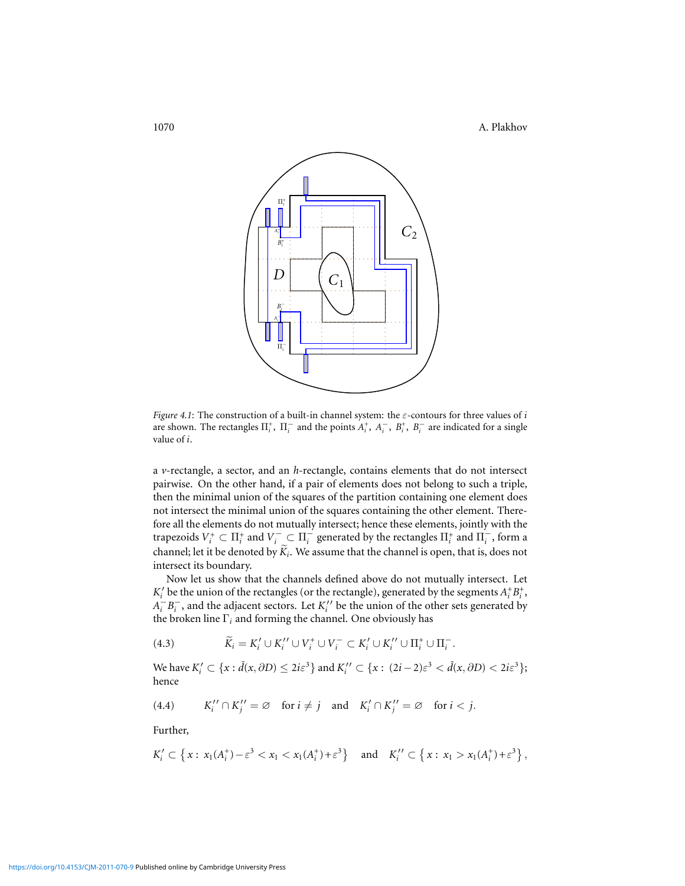

<span id="page-12-0"></span>*Figure 4.1*: The construction of a built-in channel system: the ε-contours for three values of *i* are shown. The rectangles  $\Pi_i^+$ ,  $\Pi_i^-$  and the points  $A_i^+$ ,  $A_i^-$ ,  $B_i^+$ ,  $B_i^-$  are indicated for a single value of *i*.

a *v*-rectangle, a sector, and an *h*-rectangle, contains elements that do not intersect pairwise. On the other hand, if a pair of elements does not belong to such a triple, then the minimal union of the squares of the partition containing one element does not intersect the minimal union of the squares containing the other element. Therefore all the elements do not mutually intersect; hence these elements, jointly with the trapezoids  $V_i^+ \subset \Pi_i^+$  and  $V_i^- \subset \Pi_i^-$  generated by the rectangles  $\Pi_i^+$  and  $\Pi_i^-$ , form a channel; let it be denoted by  $K_i$ . We assume that the channel is open, that is, does not intersect its boundary.

Now let us show that the channels defined above do not mutually intersect. Let  $K_i'$  be the union of the rectangles (or the rectangle), generated by the segments  $A_i^+ B_i^+$ ,  $A_i^- B_i^-$ , and the adjacent sectors. Let  $K_i''$  be the union of the other sets generated by the broken line Γ*<sup>i</sup>* and forming the channel. One obviously has

<span id="page-12-1"></span>
$$
(4.3) \qquad \widetilde{K}_i = K'_i \cup K''_i \cup V^+_i \cup V^-_i \subset K'_i \cup K''_i \cup \Pi^+_i \cup \Pi^-_i.
$$

We have  $K_i' \subset \{x : \bar{d}(x, \partial D) \le 2i\varepsilon^3\}$  and  $K_i'' \subset \{x : (2i-2)\varepsilon^3 < \bar{d}(x, \partial D) < 2i\varepsilon^3\};$ hence

(4.4) 
$$
K_i'' \cap K_j'' = \varnothing \quad \text{for } i \neq j \quad \text{and} \quad K_i' \cap K_j'' = \varnothing \quad \text{for } i < j.
$$

Further,

$$
K'_{i} \subset \left\{ x : x_{1}(A_{i}^{+}) - \varepsilon^{3} < x_{1} < x_{1}(A_{i}^{+}) + \varepsilon^{3} \right\} \quad \text{and} \quad K''_{i} \subset \left\{ x : x_{1} > x_{1}(A_{i}^{+}) + \varepsilon^{3} \right\},
$$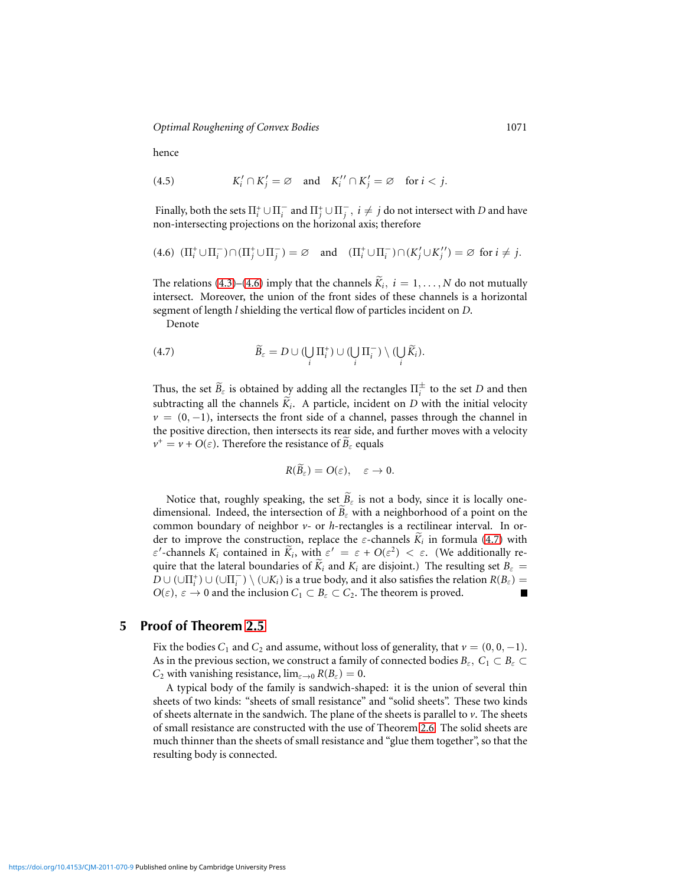*Optimal Roughening of Convex Bodies* 1071

hence

(4.5) 
$$
K'_i \cap K'_j = \varnothing \quad \text{and} \quad K''_i \cap K'_j = \varnothing \quad \text{for } i < j.
$$

Finally, both the sets  $\Pi_i^+ \cup \Pi_i^-$  and  $\Pi_j^+ \cup \Pi_j^-$ ,  $i \neq j$  do not intersect with *D* and have non-intersecting projections on the horizonal axis; therefore

<span id="page-13-1"></span>
$$
(4.6) \ \ (\Pi_i^+ \cup \Pi_i^-) \cap (\Pi_j^+ \cup \Pi_j^-) = \varnothing \quad \text{and} \quad (\Pi_i^+ \cup \Pi_i^-) \cap (K_j' \cup K_j'') = \varnothing \text{ for } i \neq j.
$$

The relations [\(4.3\)](#page-12-1)–[\(4.6\)](#page-13-1) imply that the channels  $\widetilde{K}_i$ ,  $i = 1, ..., N$  do not mutually intersect. Moreover, the union of the front sides of these channels is a horizontal segment of length *l* shielding the vertical flow of particles incident on *D*.

Denote

<span id="page-13-2"></span>(4.7) 
$$
\widetilde{B}_{\varepsilon} = D \cup (\bigcup_{i} \Pi_{i}^{+}) \cup (\bigcup_{i} \Pi_{i}^{-}) \setminus (\bigcup_{i} \widetilde{K}_{i}).
$$

Thus, the set  $\widetilde{B}_{\varepsilon}$  is obtained by adding all the rectangles  $\Pi_i^{\pm}$  to the set *D* and then subtracting all the channels  $K_i$ . A particle, incident on  $D$  with the initial velocity  $v = (0, -1)$ , intersects the front side of a channel, passes through the channel in the positive direction, then intersects its rear side, and further moves with a velocity  $v^+ = v + O(\varepsilon)$ . Therefore the resistance of  $\widetilde{B}_\varepsilon$  equals

$$
R(\widetilde{B}_{\varepsilon})=O(\varepsilon),\quad \varepsilon\to 0.
$$

Notice that, roughly speaking, the set  $\widetilde{B}_{\varepsilon}$  is not a body, since it is locally onedimensional. Indeed, the intersection of  $\widetilde{B}_{\varepsilon}$  with a neighborhood of a point on the common boundary of neighbor *v*- or *h*-rectangles is a rectilinear interval. In order to improve the construction, replace the  $\varepsilon$ -channels  $K_i$  in formula [\(4.7\)](#page-13-2) with  $\varepsilon'$ -channels  $K_i$  contained in  $\widetilde{K}_i$ , with  $\varepsilon' = \varepsilon + O(\varepsilon^2) < \varepsilon$ . (We additionally require that the lateral boundaries of  $\widetilde{K}_i$  and  $K_i$  are disjoint.) The resulting set  $B_\varepsilon =$  $D \cup (\cup \Pi_i^+) \cup (\cup \Pi_i^-) \setminus (\cup K_i)$  is a true body, and it also satisfies the relation  $R(B_\varepsilon) =$  $O(\varepsilon)$ ,  $\varepsilon \to 0$  and the inclusion  $C_1 \subset B_\varepsilon \subset C_2$ . The theorem is proved.

## **5 Proof of Theorem [2.5](#page-4-0)**

<span id="page-13-0"></span>Fix the bodies  $C_1$  and  $C_2$  and assume, without loss of generality, that  $v = (0, 0, -1)$ . As in the previous section, we construct a family of connected bodies  $B_{\varepsilon}$ ,  $C_1 \subset B_{\varepsilon} \subset$ *C*<sub>2</sub> with vanishing resistance,  $\lim_{\varepsilon \to 0} R(B_{\varepsilon}) = 0$ .

A typical body of the family is sandwich-shaped: it is the union of several thin sheets of two kinds: "sheets of small resistance" and "solid sheets". These two kinds of sheets alternate in the sandwich. The plane of the sheets is parallel to *v*. The sheets of small resistance are constructed with the use of Theorem [2.6.](#page-4-1) The solid sheets are much thinner than the sheets of small resistance and "glue them together", so that the resulting body is connected.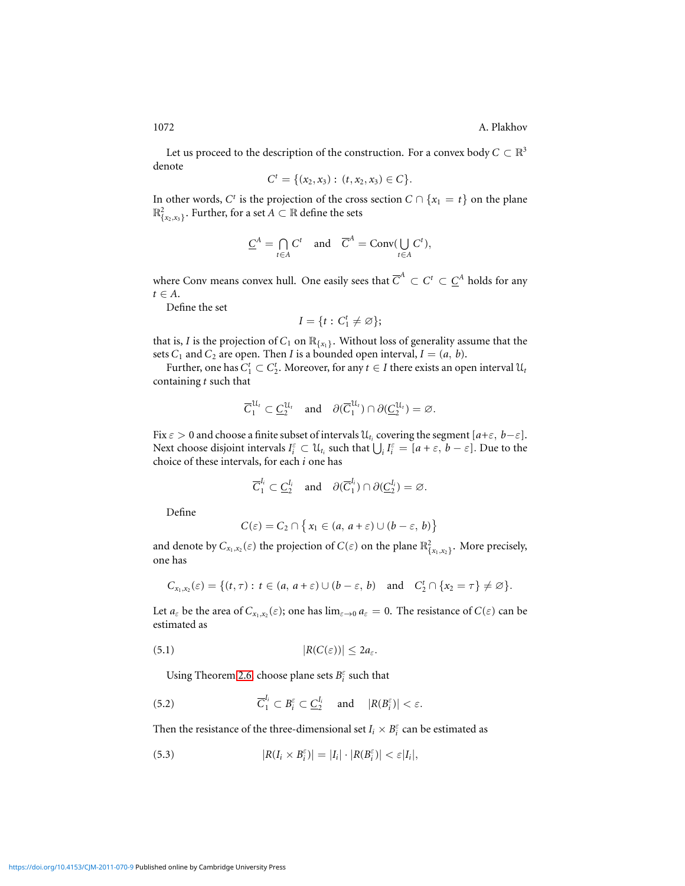1072 A. Plakhov

Let us proceed to the description of the construction. For a convex body  $C \subset \mathbb{R}^3$ denote

$$
C^t = \{(x_2, x_3) : (t, x_2, x_3) \in C\}.
$$

In other words,  $C^t$  is the projection of the cross section  $C \cap \{x_1 = t\}$  on the plane  $\mathbb{R}^2_{\{x_2,x_3\}}$ . Further, for a set  $A\subset\mathbb{R}$  define the sets

$$
\underline{C}^A = \bigcap_{t \in A} C^t \quad \text{and} \quad \overline{C}^A = \text{Conv}(\bigcup_{t \in A} C^t),
$$

where Conv means convex hull. One easily sees that  $\overline{C}^A \subset C^t \subset \underline{C}^A$  holds for any *t* ∈ *A*.

Define the set

$$
I = \{t : C_1^t \neq \varnothing\};
$$

that is, *I* is the projection of  $C_1$  on  $\mathbb{R}_{\{x_1\}}$ . Without loss of generality assume that the sets  $C_1$  and  $C_2$  are open. Then *I* is a bounded open interval,  $I = (a, b)$ .

Further, one has  $C_1^t \subset C_2^t$ . Moreover, for any  $t \in I$  there exists an open interval  $\mathcal{U}_t$ containing *t* such that

$$
\overline{C}_1^{\mathcal{U}_r}\subset \underline{C}_2^{\mathcal{U}_r} \quad \text{and} \quad \partial(\overline{C}_1^{\mathcal{U}_r})\cap \partial(\underline{C}_2^{\mathcal{U}_r})=\varnothing.
$$

Fix  $\varepsilon > 0$  and choose a finite subset of intervals  $\mathcal{U}_{t_i}$  covering the segment  $[a+\varepsilon, b-\varepsilon]$ . Next choose disjoint intervals  $I_i^{\varepsilon} \subset \mathcal{U}_{t_i}$  such that  $\bigcup_i I_i^{\varepsilon} = [a + \varepsilon, b - \varepsilon]$ . Due to the choice of these intervals, for each *i* one has

$$
\overline{C}_1^{I_i} \subset \underline{C}_2^{I_i} \quad \text{and} \quad \partial(\overline{C}_1^{I_i}) \cap \partial(\underline{C}_2^{I_i}) = \varnothing.
$$

Define

$$
C(\varepsilon) = C_2 \cap \big\{ x_1 \in (a, a + \varepsilon) \cup (b - \varepsilon, b) \big\}
$$

and denote by  $C_{x_1,x_2}(\varepsilon)$  the projection of  $C(\varepsilon)$  on the plane  $\mathbb{R}^2_{\{x_1,x_2\}}$ . More precisely, one has

$$
C_{x_1,x_2}(\varepsilon) = \{(t,\tau): t \in (a, a+\varepsilon) \cup (b-\varepsilon, b) \text{ and } C_2^t \cap \{x_2 = \tau\} \neq \emptyset\}.
$$

Let  $a_{\varepsilon}$  be the area of  $C_{x_1,x_2}(\varepsilon)$ ; one has  $\lim_{\varepsilon\to 0} a_{\varepsilon} = 0$ . The resistance of  $C(\varepsilon)$  can be estimated as

<span id="page-14-1"></span>
$$
|R(C(\varepsilon))| \leq 2a_{\varepsilon}.
$$

Using Theorem [2.6,](#page-4-1) choose plane sets  $B_i^{\varepsilon}$  such that

<span id="page-14-0"></span>(5.2) 
$$
\overline{C}_1^{I_i} \subset B_i^{\varepsilon} \subset \underline{C}_2^{I_i} \quad \text{and} \quad |R(B_i^{\varepsilon})| < \varepsilon.
$$

Then the resistance of the three-dimensional set  $I_i \times B_i^{\varepsilon}$  can be estimated as

<span id="page-14-2"></span>(5.3) 
$$
|R(I_i \times B_i^{\varepsilon})| = |I_i| \cdot |R(B_i^{\varepsilon})| < \varepsilon |I_i|,
$$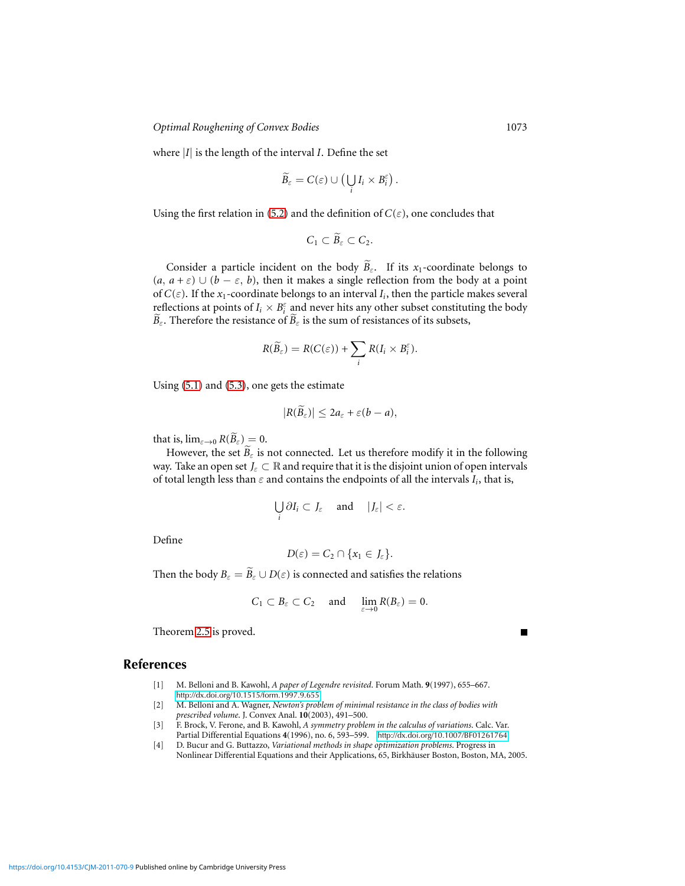where |*I*| is the length of the interval *I*. Define the set

$$
\widetilde{B}_{\varepsilon}=C(\varepsilon)\cup\left(\bigcup_{i} I_i\times B_i^{\varepsilon}\right).
$$

Using the first relation in [\(5.2\)](#page-14-0) and the definition of  $C(\varepsilon)$ , one concludes that

$$
C_1\subset \widetilde{B}_{\varepsilon}\subset C_2.
$$

Consider a particle incident on the body  $\widetilde{B}_{\varepsilon}$ . If its *x*<sub>1</sub>-coordinate belongs to  $(a, a + \varepsilon) \cup (b - \varepsilon, b)$ , then it makes a single reflection from the body at a point of  $C(\varepsilon)$ . If the  $x_1$ -coordinate belongs to an interval  $I_i$ , then the particle makes several reflections at points of  $I_i \times B_i^{\varepsilon}$  and never hits any other subset constituting the body  $\widetilde{B}_{\varepsilon}$ . Therefore the resistance of  $\widetilde{B}_{\varepsilon}$  is the sum of resistances of its subsets,

$$
R(\widetilde{B}_{\varepsilon}) = R(C(\varepsilon)) + \sum_i R(I_i \times B_i^{\varepsilon}).
$$

Using [\(5.1\)](#page-14-1) and [\(5.3\)](#page-14-2), one gets the estimate

$$
|R(\widetilde{B}_{\varepsilon})| \leq 2a_{\varepsilon} + \varepsilon(b-a),
$$

that is,  $\lim_{\varepsilon \to 0} R(\widetilde{B}_{\varepsilon}) = 0$ .

However, the set  $\widetilde{B}_{\varepsilon}$  is not connected. Let us therefore modify it in the following way. Take an open set  $J_\varepsilon \subset \mathbb{R}$  and require that it is the disjoint union of open intervals of total length less than  $\varepsilon$  and contains the endpoints of all the intervals  $I_i$ , that is,

$$
\bigcup_i \partial I_i \subset J_{\varepsilon} \quad \text{ and } \quad |J_{\varepsilon}| < \varepsilon.
$$

Define

$$
D(\varepsilon)=C_2\cap\{x_1\in J_{\varepsilon}\}.
$$

Then the body  $B_{\varepsilon} = \widetilde{B}_{\varepsilon} \cup D(\varepsilon)$  is connected and satisfies the relations

$$
C_1 \subset B_{\varepsilon} \subset C_2
$$
 and  $\lim_{\varepsilon \to 0} R(B_{\varepsilon}) = 0.$ 

Theorem [2.5](#page-4-0) is proved.

## **References**

- <span id="page-15-1"></span>[1] M. Belloni and B. Kawohl, *A paper of Legendre revisited*. Forum Math. **9**(1997), 655–667. <http://dx.doi.org/10.1515/form.1997.9.655>
- <span id="page-15-2"></span>[2] M. Belloni and A. Wagner, *Newton's problem of minimal resistance in the class of bodies with prescribed volume*. J. Convex Anal. **10**(2003), 491–500.
- <span id="page-15-0"></span>[3] F. Brock, V. Ferone, and B. Kawohl, *A symmetry problem in the calculus of variations*. Calc. Var. Partial Differential Equations **4**(1996), no. 6, 593–599. <http://dx.doi.org/10.1007/BF01261764>
- <span id="page-15-3"></span>[4] D. Bucur and G. Buttazzo, *Variational methods in shape optimization problems*. Progress in Nonlinear Differential Equations and their Applications, 65, Birkhäuser Boston, Boston, MA, 2005.

<https://doi.org/10.4153/CJM-2011-070-9>Published online by Cambridge University Press